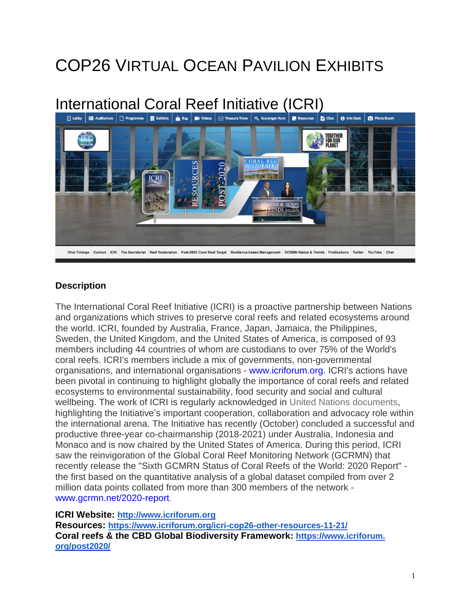# COP26 VIRTUAL OCEAN PAVILION EXHIBITS

# International Coral Reef Initiative (ICRI)<br>
I Libby | E Auditorium | D Programme | III Exhibits | A Bag | W Videos | G Treasure Trove | Q, Scavenger Hunt | II Resources | B Chat | 0 Info Desk | 0 Photo Booth



### **Description**

The International Coral Reef Initiative (ICRI) is a proactive partnership between Nations and organizations which strives to preserve coral reefs and related ecosystems around the world. ICRI, founded by Australia, France, Japan, Jamaica, the Philippines, Sweden, the United Kingdom, and the United States of America, is composed of 93 members including 44 countries of whom are custodians to over 75% of the World's coral reefs. ICRI's members include a mix of governments, non-governmental organisations, and international organisations - [www.icriforum.org.](http://www.icriforum.org/) ICRI's actions have been pivotal in continuing to highlight globally the importance of coral reefs and related ecosystems to environmental sustainability, food security and social and cultural wellbeing. The work of ICRI is regularly acknowledged in United Nations [documents,](https://www.icriforum.org/icri-coral-reefs-and-the-un/) highlighting the Initiative's important cooperation, collaboration and advocacy role within the international arena. The Initiative has recently (October) concluded a successful and productive three-year co-chairmanship (2018-2021) under Australia, Indonesia and Monaco and is now chaired by the United States of America. During this period, ICRI saw the reinvigoration of the Global Coral Reef Monitoring Network (GCRMN) that recently release the "Sixth GCMRN Status of Coral Reefs of the World: 2020 Report" the first based on the quantitative analysis of a global dataset compiled from over 2 million data points collated from more than 300 members of the network [www.gcrmn.net/2020-report.](http://www.gcrmn.net/2020-report)

#### **ICRI Website: [http://www.icriforum.org](http://www.icriforum.org/)**

**Resources: <https://www.icriforum.org/icri-cop26-other-resources-11-21/> Coral reefs & the CBD Global Biodiversity Framework: [https://www.icriforum.](https://www.icriforum.org/post2020/) [org/post2020/](https://www.icriforum.org/post2020/)**